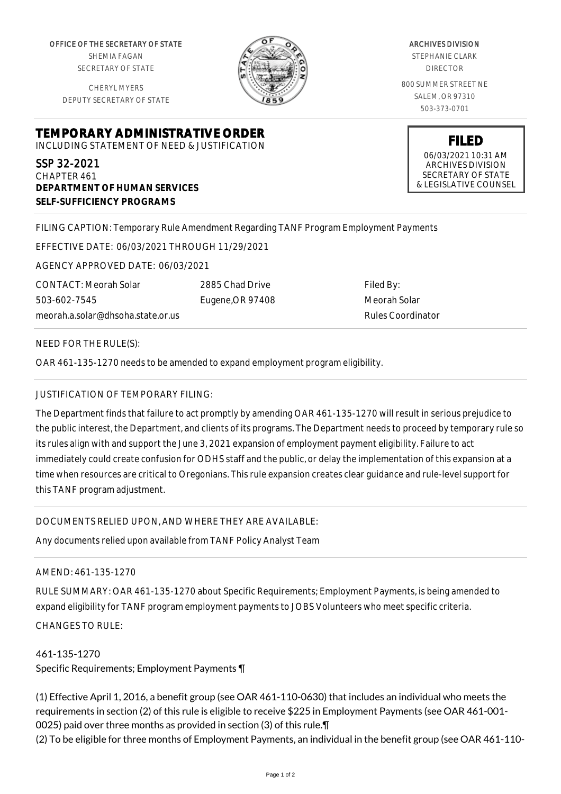OFFICE OF THE SECRETARY OF STATE SHEMIA FAGAN SECRETARY OF STATE

CHERYL MYERS DEPUTY SECRETARY OF STATE



ARCHIVES DIVISION STEPHANIE CLARK DIRECTOR 800 SUMMER STREET NE SALEM, OR 97310 503-373-0701

> **FILED** 06/03/2021 10:31 AM ARCHIVES DIVISION SECRETARY OF STATE & LEGISLATIVE COUNSEL

**TEMPORARY ADMINISTRATIVE ORDER** INCLUDING STATEMENT OF NEED & JUSTIFICATION

SSP 32-2021 CHAPTER 461 **DEPARTMENT OF HUMAN SERVICES SELF-SUFFICIENCY PROGRAMS**

FILING CAPTION: Temporary Rule Amendment Regarding TANF Program Employment Payments

EFFECTIVE DATE: 06/03/2021 THROUGH 11/29/2021

AGENCY APPROVED DATE: 06/03/2021

meorah.a.solar@dhsoha.state.or.us 2885 Chad Drive Eugene,OR 97408

Filed By: Meorah Solar Rules Coordinator

NEED FOR THE RULE(S):

CONTACT: Meorah Solar

503-602-7545

OAR 461-135-1270 needs to be amended to expand employment program eligibility.

## JUSTIFICATION OF TEMPORARY FILING:

The Department finds that failure to act promptly by amending OAR 461-135-1270 will result in serious prejudice to the public interest, the Department, and clients of its programs. The Department needs to proceed by temporary rule so its rules align with and support the June 3, 2021 expansion of employment payment eligibility. Failure to act immediately could create confusion for ODHS staff and the public, or delay the implementation of this expansion at a time when resources are critical to Oregonians. This rule expansion creates clear guidance and rule-level support for this TANF program adjustment.

## DOCUMENTS RELIED UPON, AND WHERE THEY ARE AVAILABLE:

Any documents relied upon available from TANF Policy Analyst Team

AMEND: 461-135-1270

RULE SUMMARY: OAR 461-135-1270 about Specific Requirements; Employment Payments, is being amended to expand eligibility for TANF program employment payments to JOBS Volunteers who meet specific criteria.

CHANGES TO RULE:

## 461-135-1270 Specific Requirements; Employment Payments ¶

(1) Effective April 1, 2016, a benefit group (see OAR 461-110-0630) that includes an individual who meets the requirements in section (2) of this rule is eligible to receive \$225 in Employment Payments (see OAR 461-001- 0025) paid over three months as provided in section (3) of this rule.¶

(2) To be eligible for three months of Employment Payments, an individual in the benefit group (see OAR 461-110-